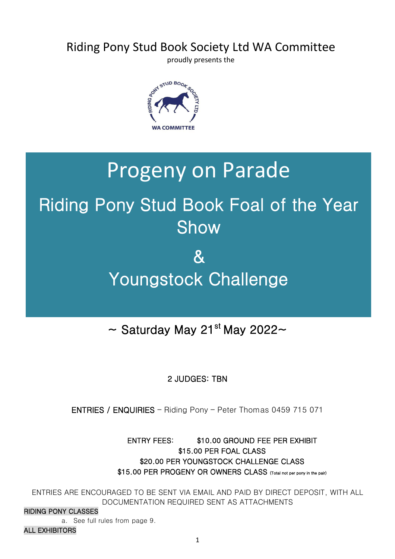## Riding Pony Stud Book Society Ltd WA Committee

proudly presents the



## Progeny on Parade

### . . . . Riding Pony Stud Book Foal of the Year Show

### . . . . & Youngstock Challenge

### Ī ~ Saturday May 21<sup>st</sup> May 2022~

## 2 JUDGES: TBN

ENTRIES / ENQUIRIES – Riding Pony – Peter Thomas 0459 715 071

ENTRY FEES: \$10.00 GROUND FEE PER EXHIBIT \$15.00 PER FOAL CLASS \$20.00 PER YOUNGSTOCK CHALLENGE CLASS \$15.00 PER PROGENY OR OWNERS CLASS (Total not per pony in the pair)

ENTRIES ARE ENCOURAGED TO BE SENT VIA EMAIL AND PAID BY DIRECT DEPOSIT, WITH ALL DOCUMENTATION REQUIRED SENT AS ATTACHMENTS

### RIDING PONY CLASSES

a. See full rules from page 9.

### ALL EXHIBITORS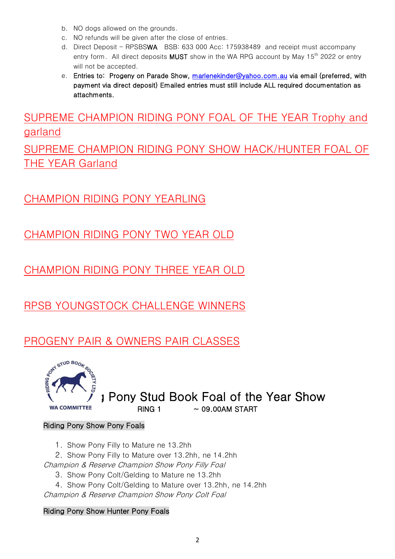- b. NO dogs allowed on the grounds.
- c. NO refunds will be given after the close of entries.
- d. Direct Deposit RPSBSWA BSB: 633 000 Acc: 175938489 and receipt must accompany entry form. All direct deposits **MUST** show in the WA RPG account by May 15<sup>th</sup> 2022 or entry will not be accepted.
- e. Entries to: Progeny on Parade Show, [marlenekinder@yahoo.com.au](mailto:marlenekinder@yahoo.com.au) via email (preferred, with payment via direct deposit) Emailed entries must still include ALL required documentation as attachments.

SUPREME CHAMPION RIDING PONY FOAL OF THE YEAR Trophy and garland

SUPREME CHAMPION RIDING PONY SHOW HACK/HUNTER FOAL OF THE YEAR Garland

## CHAMPION RIDING PONY YEARLING

CHAMPION RIDING PONY TWO YEAR OLD

CHAMPION RIDING PONY THREE YEAR OLD

RPSB YOUNGSTOCK CHALLENGE WINNERS

## PROGENY PAIR & OWNERS PAIR CLASSES



 $\sum_{N}$   $\sum_{N}$   $\sum_{N}$   $\sum_{N}$  Pony Stud Book Foal of the Year Show  $\approx$  09.00AM START

### Riding Pony Show Pony Foals

1. Show Pony Filly to Mature ne 13.2hh

2. Show Pony Filly to Mature over 13.2hh, ne 14.2hh

Champion & Reserve Champion Show Pony Filly Foal

3. Show Pony Colt/Gelding to Mature ne 13.2hh

4. Show Pony Colt/Gelding to Mature over 13.2hh, ne 14.2hh

Champion & Reserve Champion Show Pony Colt Foal

### Riding Pony Show Hunter Pony Foals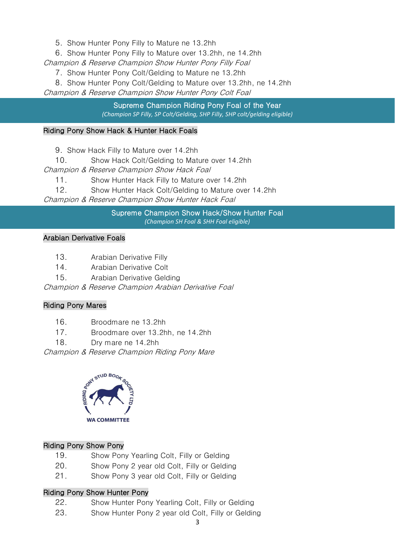5. Show Hunter Pony Filly to Mature ne 13.2hh

6. Show Hunter Pony Filly to Mature over 13.2hh, ne 14.2hh

Champion & Reserve Champion Show Hunter Pony Filly Foal

7. Show Hunter Pony Colt/Gelding to Mature ne 13.2hh

8. Show Hunter Pony Colt/Gelding to Mature over 13.2hh, ne 14.2hh Champion & Reserve Champion Show Hunter Pony Colt Foal

> Supreme Champion Riding Pony Foal of the Year *(Champion SP Filly, SP Colt/Gelding, SHP Filly, SHP colt/gelding eligible)*

### Riding Pony Show Hack & Hunter Hack Foals

9. Show Hack Filly to Mature over 14.2hh

10. Show Hack Colt/Gelding to Mature over 14.2hh

Champion & Reserve Champion Show Hack Foal

11. Show Hunter Hack Filly to Mature over 14.2hh

12. Show Hunter Hack Colt/Gelding to Mature over 14.2hh

Champion & Reserve Champion Show Hunter Hack Foal

Supreme Champion Show Hack/Show Hunter Foal *(Champion SH Foal & SHH Foal eligible)*

### Arabian Derivative Foals

- 13. Arabian Derivative Filly
- 14. Arabian Derivative Colt
- 15. Arabian Derivative Gelding

Champion & Reserve Champion Arabian Derivative Foal

### Riding Pony Mares

- 16. Broodmare ne 13.2hh
- 17. Broodmare over 13.2hh, ne 14.2hh
- 18. Dry mare ne 14.2hh

Champion & Reserve Champion Riding Pony Mare



### Riding Pony Show Pony

- 19. Show Pony Yearling Colt, Filly or Gelding
- 20. Show Pony 2 year old Colt, Filly or Gelding
- 21. Show Pony 3 year old Colt, Filly or Gelding

### Riding Pony Show Hunter Pony

- 22. Show Hunter Pony Yearling Colt, Filly or Gelding
- 23. Show Hunter Pony 2 year old Colt, Filly or Gelding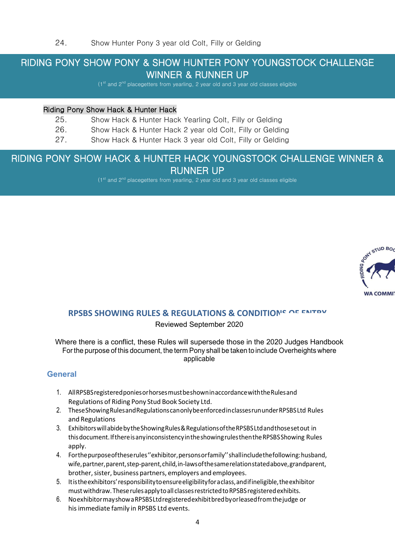# RIDING PONY SHOW PONY & SHOW HUNTER PONY YOUNGSTOCK CHALLENGE WINNER & RUNNER UP (1st and 2<sup>nd</sup> placegetters from yearling, 2 year old and 3 year old classes eligible

### Riding Pony Show Hack & Hunter Hack

Ξ

- 25. Show Hack & Hunter Hack Yearling Colt, Filly or Gelding
- 26. Show Hack & Hunter Hack 2 year old Colt, Filly or Gelding
- 27. Show Hack & Hunter Hack 3 year old Colt, Filly or Gelding

# ) RIDING PONY SHOW HACK & HUNTER HACK YOUNGSTOCK CHALLENGE WINNER & **RUNNER UP** (1st and 2<sup>nd</sup> placegetters from yearling, 2 year old and 3 year old classes eligible



### **RPSBS SHOWING RULES & REGULATIONS & CONDITIONS OF ENTRY**

### Reviewed September 2020

Where there is a conflict, these Rules will supersede those in the 2020 Judges Handbook For the purpose of this document, the term Pony shall be taken to include Overheights where applicable

### **General**

- 1. AllRPSBSregisteredponies or horsesmustbeshown in accordancewiththeRulesand Regulations of Riding Pony Stud Book Society Ltd.
- 2. TheseShowingRulesand Regulations can only beenforcedinclassesrununderRPSBSLtd Rules and Regulations
- 3. Exhibitors will abidebythe Showing Rules & Regulations of theRPSBSLtdandthosesetout in thisdocument. If there is anyinconsistency in the showing rulesthentheRPSBS Showing Rules apply.
- 4. Forthepurpose of theserules ''exhibitor, personsor family'' shallincludethe following: husband, wife,partner,parent,step-parent,child, in-laws of thesame relation statedabove,grandparent, brother, sister, business partners, employers and employees.
- 5. It is the exhibitors' responsibilitytoensure eligibility for a class,and if ineligible, theexhibitor must withdraw. These rules apply to all classes restricted to RPSBS registered exhibits.
- 6. Noexhibitormayshow a RPSBSLtdregisteredexhibitbredby or leasedfromthejudge or hisimmediate family in RPSBS Ltd events.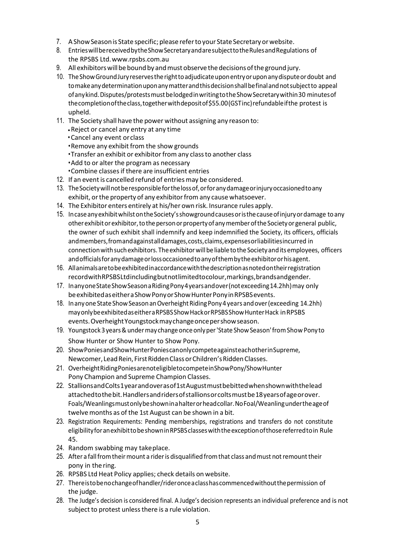- 7. A Show Season is State specific; please refer to your State Secretary or website.
- 8. EntrieswillbereceivedbytheShowSecretaryandaresubjecttotheRulesandRegulations of the RPSBS Ltd[.www.rpsbs.com.au](http://www.rpsbs.com.au/)
- 9. All exhibitors will be bound by and must observe the decisions of the ground jury.
- 10. TheShowGroundJuryreservestherighttoadjudicateuponentryoruponanydisputeordoubt and tomakeanydeterminationuponanymatterandthisdecisionshallbefinalandnotsubjectto appeal ofanykind.Disputes/protestsmustbelodgedinwritingtotheShowSecretarywithin30 minutesof thecompletionoftheclass,togetherwithdepositof\$55.00(GSTinc)refundableifthe protest is upheld.
- 11. The Society shall have the power without assigning any reason to:
	- •Reject or cancel any entry at any time
	- Cancel any event orclass
	- •Remove any exhibit from the show grounds
	- •Transfer an exhibit or exhibitor from any class to another class
	- •Add to or alter the program as necessary
	- •Combine classesif there are insufficient entries
- 12. If an event is cancelled refund of entries may be considered.
- 13. TheSocietywillnotberesponsibleforthelossof,orforanydamageorinjuryoccasionedtoany exhibit, or the property of any exhibitor from any cause whatsoever.
- 14. The Exhibitor enters entirely at his/her own risk. Insurance rules apply.
- 15. IncaseanyexhibitwhilstontheSociety'sshowgroundcausesoristhecauseofinjuryordamage toany otherexhibitorexhibitor,tothepersonorpropertyofanymemberoftheSocietyorgeneral public, the owner of such exhibit shall indemnify and keep indemnified the Society, its officers, officials andmembers,fromandagainstalldamages,costs,claims,expensesorliabilitiesincurred in connection with such exhibitors. The exhibitor will be liable to the Society and its employees, officers andofficialsforanydamageorlossoccasionedtoanyofthembytheexhibitororhisagent.
- 16. Allanimalsaretobeexhibitedinaccordancewiththedescriptionasnotedontheirregistration recordwithRPSBSLtdincludingbutnotlimitedtocolour,markings,brandsandgender.
- 17. Inanyone State Show Season a Riding Pony 4 years and over (not exceeding 14.2hh) may only beexhibitedaseitheraShowPonyorShowHunterPonyinRPSBSevents.
- 18. In any one State Show Season an Overheight Riding Pony 4 years and over (exceeding 14.2hh) mayonlybeexhibitedaseitheraRPSBSShowHackorRPSBSShowHunterHack inRPSBS events.OverheightYoungstockmaychangeoncepershowseason.
- 19. Youngstock3years&undermaychangeonceonlyper'State ShowSeason'fromShow Ponyto Show Hunter or Show Hunter to Show Pony.
- 20. ShowPoniesandShowHunterPoniescanonlycompeteagainsteachotherinSupreme, Newcomer, Lead Rein, First Ridden Class or Children's Ridden Classes.
- 21. OverheightRidingPoniesarenoteligibletocompeteinShowPony/ShowHunter Pony Champion and Supreme Champion Classes.
- 22. StallionsandColts1yearandoverasof1stAugustmustbebittedwhenshownwiththelead attachedtothebit.Handlersandridersofstallionsorcoltsmustbe18yearsofageorover. Foals/Weanlingsmustonlybeshowninahalterorheadcollar.NoFoal/Weanlingundertheageof twelve months as of the 1st August can be shown in a bit.
- 23. Registration Requirements: Pending memberships, registrations and transfers do not constitute eligibilityforanexhibittobeshowninRPSBSclasseswiththeexceptionofthosereferredtoin Rule 45.
- 24. Random swabbing may takeplace.
- 25. After a fall from their mount a rider is disqualified from that class and must not remount their pony in the ring.
- 26. RPSBS Ltd Heat Policy applies; check details on website.
- 27. Thereistobenochangeofhandler/rideronceaclasshascommencedwithoutthepermission of the judge.
- 28. The Judge's decision is considered final. A Judge's decision represents an individual preference and is not subject to protest unless there is a rule violation.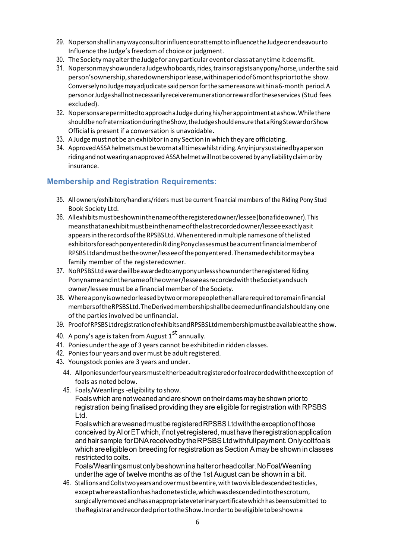- 29. NopersonshallinanywayconsultorinfluenceorattempttoinfluencetheJudgeorendeavourto Influence the Judge's freedom of choice or judgment.
- 30. The Society may alter the Judge for any particular event or class at any time it deems fit.
- 31. NopersonmayshowunderaJudgewhoboards,rides,trainsoragistsanypony/horse,underthe said person'sownership,sharedownershiporlease,withinaperiodof6monthspriortothe show. ConverselynoJudgemayadjudicatesaidpersonforthesamereasonswithina6-month period.A personorJudgeshallnotnecessarilyreceiveremunerationorrewardfortheseservices (Stud fees excluded).
- 32. NopersonsarepermittedtoapproachaJudgeduringhis/herappointmentatashow.Whilethere shouldbenofraternizationduringtheShow,theJudgeshouldensurethataRingStewardorShow Official is present if a conversation is unavoidable.
- 33. A Judge must not be an exhibitor in any Section in which they are officiating.
- 34. Approved ASSA helmets must be worn at all times whilstriding. Any injury sustained by a person riding and not wearing an approved ASSA helmet will not be covered by any liability claim or by insurance.

### **Membership and Registration Requirements:**

- 35. All owners/exhibitors/handlers/riders must be current financial members of the Riding Pony Stud Book Society Ltd.
- 36. Allexhibitsmustbeshowninthenameoftheregisteredowner/lessee(bonafideowner).This meansthatanexhibitmustbeinthenameofthelastrecordedowner/lesseeexactlyasit appears in the records of the RPSBS Ltd. When entered in multiple names one of the listed exhibitorsforeachponyenteredinRidingPonyclassesmustbeacurrentfinancialmemberof RPSBSLtdandmustbetheowner/lesseeoftheponyentered.Thenamedexhibitormaybea family member of the registeredowner.
- 37. NoRPSBSLtdaward will be awarded to any ponyunless shown under the registered Riding Ponynameandinthenameoftheowner/lesseeasrecordedwiththeSocietyandsuch owner/lessee must be a financial member of the Society.
- 38. Whereaponyisownedorleasedbytwoormorepeoplethenallarerequiredtoremainfinancial membersoftheRPSBSLtd.TheDerivedmembershipshallbedeemedunfinancialshouldany one of the parties involved be unfinancial.
- 39. ProofofRPSBSLtdregistrationofexhibitsandRPSBSLtdmembershipmustbeavailableatthe show.
- 40. A pony's age is taken from August  $1<sup>st</sup>$  annually.
- 41. Ponies under the age of 3 years cannot be exhibited in ridden classes.
- 42. Ponies four years and over must be adult registered.
- 43. Youngstock ponies are 3 years and under.
	- 44. Allponiesunderfouryearsmusteitherbeadultregisteredorfoalrecordedwiththeexception of foals as noted below.
	- 45. Foals/Weanlings -eligibility toshow.

Foalswhich arenot weanedandareshownontheir damsmay beshown priorto registration being finalised providing they are eligible for registration with RPSBS Ltd.

FoalswhichareweanedmustberegisteredRPSBSLtdwiththeexceptionofthose conceived by AI or ET which, if not yet registered, must have the registration application and hair sample forDNAreceivedbytheRPSBSLtdwithfullpayment.Onlycoltfoals which are eligible on breeding for registration as Section A may be shown in classes restricted to colts.

Foals/Weanlingsmustonlybeshowninahalterorheadcollar.NoFoal/Weanling underthe age of twelve months as of the 1st August can be shown in a bit.

46. StallionsandColtstwoyearsandovermustbeentire,withtwovisibledescendedtesticles, exceptwhereastallionhashadonetesticle,whichwasdescendedintothescrotum, surgicallyremovedandhasanappropriateveterinarycertificatewhichhasbeensubmitted to theRegistrarandrecordedpriortotheShow.Inordertobeeligibletobeshowna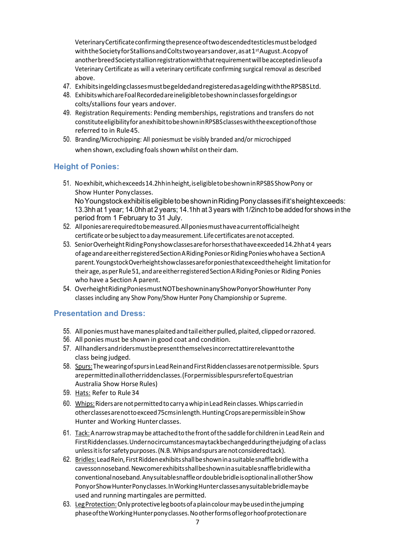VeterinaryCertificate confirming thepresence of twodescendedtesticlesmustbelodged with the Society for Stallions and Coltstwo years and over, as at 1<sup>st</sup> August. A copy of anotherbreed Society stallion registrationwiththatrequirement will beacceptedin lieu of a Veterinary Certificate as will a veterinary certificate confirming surgical removal as described above.

- 47. Exhibitsingeldingclassesmustbegeldedandregisteredas a geldingwiththeRPSBSLtd.
- 48. ExhibitswhichareFoalRecordedare ineligible tobeshown in classesforgeldingsor colts/stallions four years andover.
- 49. Registration Requirements: Pending memberships, registrations and transfers do not constitute eligibility foran exhibit tobeshown in RPSBSclasseswiththe exception ofthose referred to in Rule45.
- 50. Branding/Microchipping: All poniesmust be visibly branded and/or microchipped when shown, excluding foals shown whilst on their dam.

### **Height of Ponies:**

- 51. Noexhibit,whichexceeds14.2hh in height, is eligible tobeshowninRPSBSShowPony or Show Hunter Pony classes. NoYoungstockexhibitiseligibletobeshowninRidingPony classes ifit'sheightexceeds: 13.3hh at 1 year; 14.0hh at 2 years; 14.1hh at 3 years with 1/2inch to be added for shows in the period from 1 February to 31 July.
- 52. Allponiesarerequiredtobemeasured.Allponiesmusthave a current official height certificate or be subject to a day measurement. Life certificates are not accepted.
- 53. Senior Overheight Riding Ponyshow classes are for horses that have exceeded 14.2hh at 4 years of age and are either registered Section A Riding Ponies or Riding Ponies who have a Section A parent.YoungstockOverheightshowclassesareforponiesthatexceedtheheight limitationfor theirage, asperRule51,andareeitherregisteredSection A Riding Ponies or Riding Ponies who have a Section A parent.
- 54. OverheightRidingPoniesmustNOTbeshowninanyShowPonyorShowHunter Pony classes including any Show Pony/Show Hunter Pony Championship or Supreme.

### **Presentation and Dress:**

- 55. Allponiesmusthavemanesplaitedandtaileitherpulled,plaited, clippedorrazored.
- 56. All ponies must be shown in good coat and condition.
- 57. Allhandlersandridersmustbepresentthemselves in correctattirerelevanttothe class being judged.
- 58. Spurs: The wearing of spurs in Lead Rein and First Ridden classes are not permissible. Spurs arepermitted in all other ridden classes. (For permissibles purs refer to Equestrian Australia Show Horse Rules)
- 59. Hats: Refer to Rule34
- 60. Whips: Riders are not permitted to carry a whip in Lead Rein classes. Whips carried in otherclassesarenottoexceed75cms in length.HuntingCropsarepermissible in Show Hunter and Working Hunter classes.
- 61. Tack: A narrowstrapmaybe attachedtothefrontofthesaddlefor childrenin LeadRein and FirstRiddenclasses.Undernocircumstancesmaytackbechangedduringthejudging of a class unless it is forsafetypurposes.(N.B.Whipsandspursarenotconsideredtack).
- 62. Bridles:LeadRein, FirstRiddenexhibitsshallbeshown in a suitablesnafflebridlewitha cavessonnoseband.Newcomerexhibitsshallbeshown in a suitablesnafflebridlewitha conventionalnoseband.Anysuitablesnaffle or doublebridle is optionalinallotherShow Pony or ShowHunterPonyclasses. In WorkingHunterclassesanysuitablebridlemaybe used and running martingales are permitted.
- 63. Leg Protection: Only protective leg boots of a plain colour may be used in the jumping phase of the Working Hunter pony classes. No other forms of leg or hoof protection are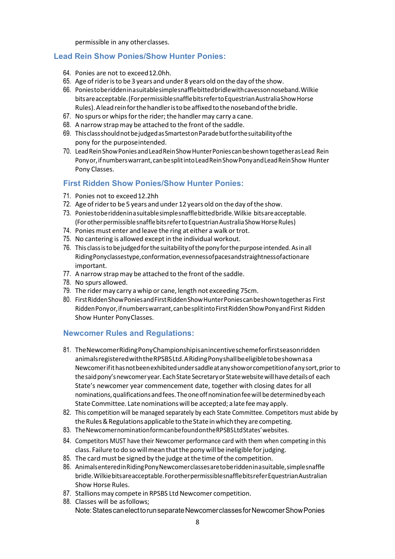permissible in any otherclasses.

### **Lead Rein Show Ponies/Show Hunter Ponies:**

- 64. Ponies are not to exceed12.0hh.
- 65. Age ofrideristo be 3 years and under 8 years old on the day ofthe show.
- 66. Poniestoberiddeninasuitablesimplesnafflebittedbridlewithcavessonnoseband.Wilkie bitsareacceptable.(ForpermissiblesnafflebitsrefertoEquestrianAustraliaShowHorse Rules).Aleadreinforthehandleristobeaffixedtothenosebandofthebridle.
- 67. No spurs or whips for the rider; the handler may carry a cane.
- 68. A narrow strap may be attached to the front of the saddle.
- 69. ThisclassshouldnotbejudgedasSmartestonParadebutforthesuitabilityofthe pony for the purposeintended.
- 70. LeadReinShowPoniesandLeadReinShowHunterPoniescanbeshowntogetherasLead Rein Ponyor,ifnumberswarrant,canbesplitintoLeadReinShowPonyandLeadReinShow Hunter Pony Classes.

### **First Ridden Show Ponies/Show Hunter Ponies:**

- 71. Ponies not to exceed12.2hh
- 72. Age of rider to be 5 years and under 12 years old on the day of the show.
- 73. Poniestoberiddeninasuitablesimplesnafflebittedbridle.Wilkie bitsareacceptable. (For other permissible snaffle bits refer to Equestrian Australia Show Horse Rules)
- 74. Ponies must enter and leave the ring at either a walk or trot.
- 75. No cantering is allowed except in the individual workout.
- 76. This classistobejudgedforthesuitabilityofthe ponyforthepurposeintended.Asinall RidingPonyclassestype,conformation,evennessofpacesandstraightnessofactionare important.
- 77. A narrow strap may be attached to the front of the saddle.
- 78. No spurs allowed.
- 79. The ridermay carry a whip or cane, length not exceeding 75cm.
- 80. First Ridden Show Ponies and First Ridden Show Hunter Ponies can be shown together as First Ridden Ponyor, if numbers warrant, can be split into First Ridden Show Ponyand First Ridden Show Hunter PonyClasses.

### **Newcomer Rules and Regulations:**

- 81. TheNewcomerRidingPonyChampionshipisanincentiveschemeforfirstseasonridden animalsregisteredwiththeRPSBSLtd.ARidingPonyshallbeeligibletobeshownasa Newcomerifithasnotbeenexhibitedundersaddleatanyshoworcompetitionofanysort,prior to the said pony's newcomer year. Each State Secretary or State website will have details of each State's newcomer year commencement date, together with closing dates for all nominations,qualificationsandfees.Theoneoffnominationfeewillbedeterminedbyeach State Committee. Late nominations will be accepted; a late fee may apply.
- 82. This competition will be managed separately by each State Committee. Competitors must abide by the Rules & Regulations applicable to the State in which they are competing.
- 83. TheNewcomernominationformcanbefoundontheRPSBSLtdStates'websites.
- 84. Competitors MUST have their Newcomer performance card with them when competing in this class. Failure to do so will mean that the pony will be ineligible for judging.
- 85. The card must be signed by the judge at the time of the competition.
- 86. AnimalsenteredinRidingPonyNewcomerclassesaretoberiddeninasuitable,simplesnaffle bridle.Wilkiebitsareacceptable.ForotherpermissiblesnafflebitsreferEquestrianAustralian Show Horse Rules.
- 87. Stallions may compete in RPSBS Ltd Newcomer competition.
- 88. Classes will be asfollows; Note:StatescanelecttorunseparateNewcomerclassesforNewcomerShowPonies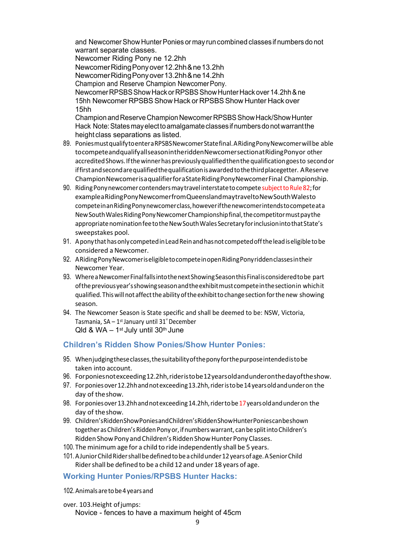and Newcomer Show Hunter Ponies or may run combined classes if numbers do not warrant separate classes.

Newcomer Riding Pony ne 12.2hh

NewcomerRidingPonyover12.2hh&ne13.2hh

NewcomerRidingPonyover13.2hh&ne14.2hh

Champion and Reserve Champion Newcomer Pony.

NewcomerRPSBSShowHackorRPSBSShowHunterHackover14.2hh&ne 15hh Newcomer RPSBSShow Hack or RPSBSShow Hunter Hack over 15hh

ChampionandReserveChampionNewcomerRPSBSShowHack/ShowHunter Hack Note: States may elect to amalgamate classes if numbers do not warrant the height class separations as listed.

- 89. PoniesmustqualifytoenteraRPSBSNewcomerStatefinal.ARidingPonyNewcomerwillbe able tocompeteandqualifyallseasonintheriddenNewcomersectionatRidingPonyor other accredited Shows. If the winner has previously qualified then the qualification goes to second or iffirstandsecondarequalifiedthequalificationisawardedtothethirdplacegetter. AReserve ChampionNewcomerisaqualifierforaStateRidingPonyNewcomerFinal Championship.
- 90. Riding Pony new comer contenders may travel interstate to compete subject to Rule 82; for exampleaRidingPonyNewcomerfromQueenslandmaytraveltoNewSouthWalesto competeinanRidingPonynewcomerclass,howeverifthenewcomerintendstocompeteata NewSouthWalesRidingPonyNewcomerChampionshipfinal,thecompetitormustpaythe appropriate nomination fee to the New South Wales Secretary for inclusion into that State's sweepstakes pool.
- 91. AponythathasonlycompetedinLeadReinandhasnot competedofftheleadiseligibletobe considered a Newcomer.
- 92. ARidingPonyNewcomeriseligibletocompeteinopenRidingPonyriddenclassesintheir Newcomer Year.
- 93. Wherea Newcomer Final falls into the next Showing Season this Final is considered to be part ofthepreviousyear'sshowingseasonandtheexhibitmustcompeteinthesectionin whichit qualified.Thiswillnot affecttheabilityoftheexhibittochangesectionforthenew showing season.
- 94. The Newcomer Season is State specific and shall be deemed to be: NSW, Victoria, Tasmania, SA –  $1^{st}$  January until 31<sup>st</sup> December Qld & WA  $-$  1<sup>st</sup> July until 30<sup>th</sup> June

### **Children's Ridden Show Ponies/Show Hunter Ponies:**

- 95. Whenjudgingtheseclasses,thesuitabilityoftheponyforthepurposeintendedistobe taken into account.
- 96. Forponiesnotexceeding12.2hh,rideristobe12yearsoldandunderonthedayoftheshow.
- 97. Forponiesover12.2hhandnotexceeding13.2hh,rideristobe14yearsoldandunderon the day of theshow.
- 98. For ponies over 13.2hh and not exceeding 14.2hh, rider to be 17 years old and under on the day of theshow.
- 99. Children'sRiddenShowPoniesandChildren'sRiddenShowHunterPoniescanbeshown together as Children's Ridden Pony or, if numbers warrant, can be split into Children's Ridden Show Pony and Children's Ridden Show Hunter Pony Classes.
- 100. The minimum age for a child to ride independently shall be 5 years.
- 101. A Junior Child Rider shall be defined to be a child under 12 years of age. A Senior Child Ridershall be defined to be a child 12 and under 18 years of age.

### **Working Hunter Ponies/RPSBS Hunter Hacks:**

102.Animalsaretobe4yearsand

over. 103. Height of jumps:

Novice - fences to have a maximum height of 45cm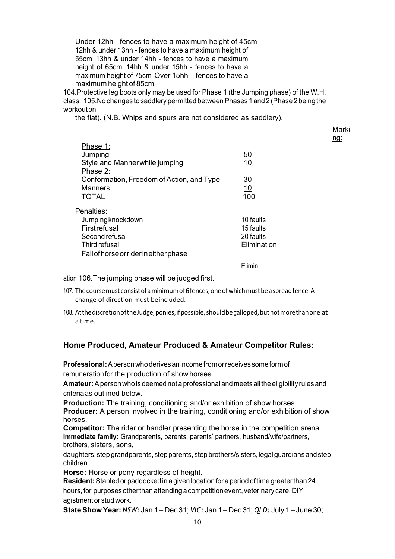Under 12hh - fences to have a maximum height of 45cm 12hh & under 13hh - fences to have a maximum height of 55cm 13hh & under 14hh - fences to have a maximum height of 65cm 14hh & under 15hh - fences to have a maximum height of 75cm Over 15hh – fences to have a maximum height of 85cm

104.Protective leg boots only may be used for Phase 1 (the Jumping phase) of the W.H. class. 105.No changes to saddlery permitted between Phases 1 and 2 (Phase 2 being the workout on

the flat). (N.B. Whips and spurs are not considered as saddlery).

| лark |
|------|
| O    |

| Phase 1:<br>Jumping<br>Style and Manner while jumping                                                                               | 50<br>10                                           |
|-------------------------------------------------------------------------------------------------------------------------------------|----------------------------------------------------|
| Phase 2:<br>Conformation, Freedom of Action, and Type<br><b>Manners</b><br><b>TOTAL</b>                                             | 30<br><u>10</u><br>100                             |
| Penalties:<br>Jumping knockdown<br>Firstrefusal<br>Second refusal<br>Third refusal<br><b>Fall of horse or rider in either phase</b> | 10 faults<br>15 faults<br>20 faults<br>Elimination |
|                                                                                                                                     | Flimin                                             |

ation 106.The jumping phase will be judged first.

- 107. The course must consist of a minimum of 6 fences, one of which must be a spread fence. A change of direction must beincluded.
- 108. Atthe discretion of the Judge, ponies, if possible, should be galloped, but not more than one at a time.

### **Home Produced, Amateur Produced & Amateur Competitor Rules:**

**Professional:**A person who derives an income from or receives some form of remuneration for the production of showhorses.

**Amateur:**A person whois deemed not a professional and meets all the eligibility rules and criteriaas outlined below.

**Production:** The training, conditioning and/or exhibition of show horses.

**Producer:** A person involved in the training, conditioning and/or exhibition of show horses.

**Competitor:** The rider or handler presenting the horse in the competition arena. **Immediate family:** Grandparents, parents, parents' partners, husband/wife/partners, brothers, sisters, sons,

daughters, step grandparents, step parents, step brothers/sisters, legal guardians and step children.

**Horse:** Horse or pony regardless of height.

**Resident:**Stabled or paddocked in a given location for a period of time greater than 24 hours, for purposes other than attending a competition event, veterinary care, DIY agistment or stud work.

**StateShow Year:** *NSW:* Jan 1 – Dec 31; *VIC:* Jan 1 – Dec 31; *QLD:* July 1 – June 30;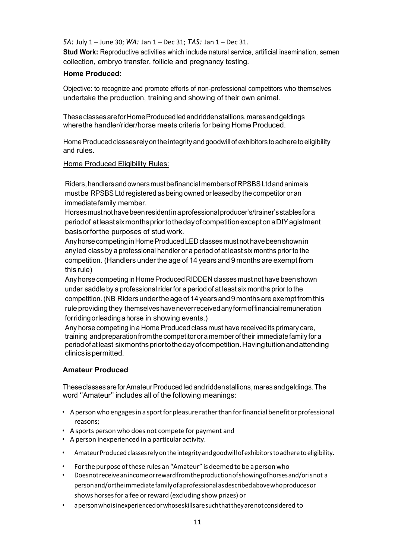*SA:* July 1 – June 30; *WA:* Jan 1 – Dec 31; *TAS:* Jan 1 – Dec 31.

**Stud Work:** Reproductive activities which include natural service, artificial insemination, semen collection, embryo transfer, follicle and pregnancy testing.

### **Home Produced:**

Objective: to recognize and promote efforts of non-professional competitors who themselves undertake the production, training and showing of their own animal.

These classesarefor Home Produced led and ridden stallions, mares and geldings where the handler/rider/horse meets criteria for being Home Produced.

Home Produced classes rely on the integrity and goodwill of exhibitors to adhere toeligibility and rules.

### Home Produced Eligibility Rules:

Riders, handlers and owners must be financial members ofRPSBS Ltd and animals must be RPSBS Ltd registered as being owned or leased by the competitor or an immediate family member.

Horses must not have been resident in a professional producer's/trainer's stables for a period of atleastsixmonthspriortothedayofcompetitionexcepton a DIYagistment basisorforthe purposes of stud work.

Any horse competing in Home Produced LED classes must not have been shownin any led class by a professional handler or a period of at least six months prior to the competition. (Handlers under the age of 14 years and 9 months are exempt from this rule)

Any horse competing in Home Produced RIDDEN classes must not have been shown under saddle by a professional rider for a period of at least six months prior to the competition. (NB Riders under the age of 14 years and 9 months are exempt from this rule providing they themselves have never received any form of financial remuneration for riding or leading a horse in showing events.)

Any horse competing in a Home Produced class must have received its primary care, training and preparation from the competitor or a member of their immediate family for a period of at least sixmonthspriortothedayofcompetition.Havingtuitionandattending clinicsispermitted.

### **Amateur Produced**

These classesarefor Amateur Produced led and ridden stallions, mares and geldings. The word ''Amateur'' includes all of the following meanings:

- A person who engages in a sport for pleasure rather than for financial benefit or professional reasons;
- A sports person who does not compete for payment and
- A person inexperienced in a particular activity.
- Amateur Produced classes rely on the integrity and goodwill of exhibitors to adhere to eligibility.
- Forthe purpose ofthese rules an "Amateur" isdeemedto be a personwho
- Doesnotreceiveanincome or rewardfromthe production of showing of horsesand/or is not a personand/orthe immediate family of a professionalasdescribedabovewhoproduces or shows horses for a fee or reward (excluding show prizes) or
- a personwho is inexperienced or whose skills aresuchthattheyarenotconsidered to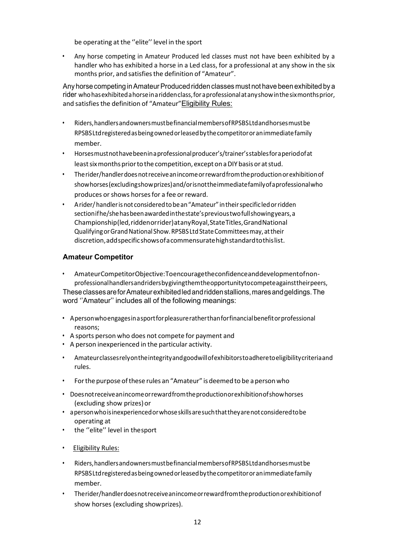be operating at the "elite" level in the sport

• Any horse competing in Amateur Produced led classes must not have been exhibited by a handler who has exhibited a horse in a Led class, for a professional at any show in the six months prior, and satisfies the definition of "Amateur".

Any horse competing in Amateur Produced ridden classes must not have been exhibited by a rider whohasexhibited a horse in a riddenclass,for a professional atanyshow in thesixmonthsprior, and satisfies the definition of "Amateur" Eligibility Rules:

- Riders,handlersandownersmustbefinancialmembers of RPSBSLtdandhorsesmustbe RPSBSLtdregisteredasbeingowned or leasedbythe competitor or animmediate family member.
- Horsesmustnothavebeen in a professional producer's/trainer'sstablesfor a period of at least six months prior to the competition, except on a DIY basis or at stud.
- Therider/handlerdoesnotreceivean income or rewardfromthe production or exhibition of showhorses(excludingshowprizes)and/or is nottheimmediate family of a professionalwho produces or shows horses for a fee or reward.
- A rider/handler is not consideredtobean"Amateur" in their specific led or ridden section if he/shehasbeenawarded in thestate'sprevioustwofullshowingyears,a Championship(led,riddenorrider)atanyRoyal,StateTitles,GrandNational Qualifying or GrandNational Show.RPSBSLtdStateCommitteesmay, attheir discretion,addspecificshowsof a commensuratehighstandardtothislist.

### **Amateur Competitor**

- AmateurCompetitorObjective:Toencouragetheconfidenceanddevelopmentofnonprofessionalhandlersandridersbygivingthemtheopportunitytocompeteagainsttheirpeers, These classesare for Amateur exhibited led and ridden stallions, mares and geldings. The word ''Amateur'' includes all of the following meanings:
- A personwhoengages in a sportforpleasureratherthanforfinancialbenefit or professional reasons;
- A sports person who does not compete for payment and
- A person inexperienced in the particular activity.
- Amateurclassesrely on theintegrityand goodwill of exhibitorstoadhereto eligibility criteriaand rules.
- Forthe purpose ofthese rules an "Amateur" isdeemedto be a personwho
- Doesnotreceiveanincome or rewardfromtheproductionor exhibition of showhorses (excluding show prizes)or
- a personwho is inexperienced or whose skills aresuchthattheyarenotconsideredtobe operating at
- the "elite" level in thesport
- **Eligibility Rules:**
- Riders,handlersandownersmustbefinancialmembers of RPSBSLtdandhorsesmustbe RPSBSLtdregisteredasbeingowned or leasedbythe competitor or animmediate family member.
- Therider/handlerdoesnotreceivean income or rewardfromthe production or exhibitionof show horses (excluding showprizes).